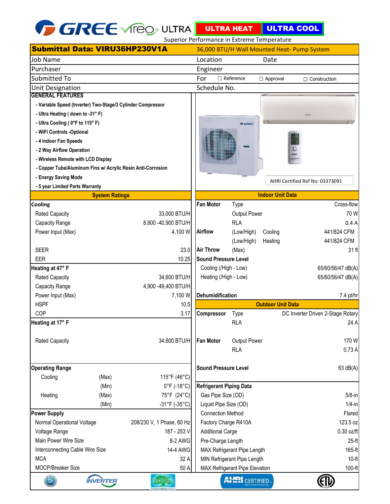

|                                                             |                       |                                  |                             | Superior Performance in Extreme Temperature |                         |                                             |  |
|-------------------------------------------------------------|-----------------------|----------------------------------|-----------------------------|---------------------------------------------|-------------------------|---------------------------------------------|--|
| <b>Submittal Data: VIRU36HP230V1A</b>                       |                       |                                  |                             |                                             |                         | 36,000 BTU/H Wall Mounted Heat- Pump System |  |
| <b>Job Name</b>                                             |                       |                                  | Location<br>Date            |                                             |                         |                                             |  |
| Purchaser                                                   |                       |                                  | Engineer                    |                                             |                         |                                             |  |
| <b>Submitted To</b>                                         |                       |                                  | For                         | $\Box$ Reference                            | $\Box$ Approval         | $\Box$ Construction                         |  |
| <b>Unit Designation</b>                                     |                       |                                  | Schedule No.                |                                             |                         |                                             |  |
| <b>GENERAL FEATURES</b>                                     |                       |                                  |                             |                                             |                         |                                             |  |
| - Variable Speed (Inverter) Two-Stage/3 Cylinder Compressor |                       |                                  |                             |                                             |                         |                                             |  |
| - Ultra Heating (down to -31° F)                            |                       |                                  |                             |                                             |                         |                                             |  |
| - Ultra Cooling ( 0°F to 115°F)                             |                       |                                  |                             | <b>GREE</b>                                 |                         |                                             |  |
| - WiFi Controls -Optional                                   |                       |                                  |                             |                                             |                         |                                             |  |
| - 4 Indoor Fan Speeds                                       |                       |                                  |                             |                                             |                         |                                             |  |
| - 2 Way Airflow Operation                                   |                       |                                  |                             |                                             |                         |                                             |  |
| - Wireless Remote with LCD Display                          |                       |                                  |                             |                                             |                         |                                             |  |
| - Copper Tube/Aluminum Fins w/ Acrylic Resin Anti-Corrosion |                       |                                  |                             |                                             |                         |                                             |  |
| - Energy Saving Mode                                        |                       |                                  |                             |                                             |                         | AHRI Certified Ref No: 03373091             |  |
| - 5 year Limited Parts Warranty                             |                       |                                  |                             |                                             |                         |                                             |  |
|                                                             | <b>System Ratings</b> |                                  |                             |                                             | <b>Indoor Unit Data</b> |                                             |  |
| <b>Cooling</b>                                              |                       |                                  | <b>Fan Motor</b>            | Type                                        |                         | Cross-flow                                  |  |
| <b>Rated Capacity</b>                                       |                       | 33,000 BTU/H                     |                             | <b>Output Power</b>                         |                         | 70 W                                        |  |
| Capacity Range                                              |                       | 8,800 -40,900 BTU/H              |                             | <b>RLA</b>                                  |                         | 0.4A                                        |  |
| Power Input (Max)                                           |                       | 4,100 W                          | <b>Airflow</b>              | (Low/High)                                  | Cooling                 | 441/824 CFM                                 |  |
|                                                             |                       |                                  |                             | (Low/High)                                  | Heating                 | 441/824 CFM                                 |  |
| <b>SEER</b>                                                 |                       | 23.0                             | <b>Air Throw</b>            | (Max)                                       |                         | 31 ft                                       |  |
| <b>EER</b>                                                  |                       | 10.25                            | <b>Sound Pressure Level</b> |                                             |                         |                                             |  |
| Heating at 47° F                                            |                       |                                  | Cooling (/High - Low)       |                                             |                         | 65/60/56/47 dB(A)                           |  |
| <b>Rated Capacity</b>                                       |                       | 34,600 BTU/H                     | Heating (/High - Low)       |                                             |                         | 65/60/56/47 dB(A)                           |  |
| Capacity Range                                              |                       | 4,900 -49,400 BTU/H              |                             |                                             |                         |                                             |  |
| Power Input (Max)                                           |                       | 7,100 W                          | Dehumidification            |                                             |                         | 7.4 pt/hr                                   |  |
| <b>HSPF</b><br>COP                                          |                       | 10.5                             | <b>Outdoor Unit Data</b>    |                                             |                         |                                             |  |
|                                                             |                       | 3.17                             | <b>Compressor</b>           | Type<br><b>RLA</b>                          |                         | DC Inverter Driven 2-Stage Rotary<br>24 A   |  |
| Heating at 17° F                                            |                       |                                  |                             |                                             |                         |                                             |  |
| <b>Rated Capacity</b>                                       |                       | 34,600 BTU/H                     | <b>Fan Motor</b>            | <b>Output Power</b>                         |                         | 170W                                        |  |
|                                                             |                       |                                  | <b>RLA</b>                  |                                             |                         | 0.73A                                       |  |
|                                                             |                       |                                  |                             |                                             |                         |                                             |  |
| <b>Operating Range</b>                                      |                       |                                  | <b>Sound Pressure Level</b> |                                             |                         | 63 dB(A)                                    |  |
| Cooling                                                     | (Max)                 | 115°F (46°C)                     |                             |                                             |                         |                                             |  |
|                                                             | (Min)                 | $0^{\circ}$ F (-18 $^{\circ}$ C) | Refrigerant Piping Data     |                                             |                         |                                             |  |
| Heating                                                     | (Max)                 | 75°F (24°C)                      |                             | Gas Pipe Size (OD)                          |                         |                                             |  |
|                                                             | (Min)                 | $-31^{\circ}F(-35^{\circ}C)$     | Liquid Pipe Size (OD)       |                                             |                         | $5/8$ -in<br>$1/4$ -in                      |  |
| <b>Power Supply</b>                                         |                       | <b>Connection Method</b>         |                             |                                             | Flared                  |                                             |  |
| Normal Operational Voltage<br>208/230 V, 1 Phase, 60 Hz     |                       | Factory Charge R410A             |                             |                                             | 123.5 oz                |                                             |  |
| Voltage Range<br>187 - 253 V                                |                       | <b>Additional Carge</b>          |                             |                                             | $0.30$ oz/ft            |                                             |  |
| Main Power Wire Size<br>8-2 AWG                             |                       | Pre-Charge Length                |                             |                                             | $25-ft$                 |                                             |  |
| 14-4 AWG<br>Interconnecting Cable Wire Size                 |                       | MAX Refrigerant Pipe Length      |                             |                                             | 165-ft                  |                                             |  |
| <b>MCA</b><br>32 A                                          |                       | MIN Refrigerant Pipe Length      |                             |                                             | $10-ft$                 |                                             |  |
| MOCP/Breaker Size<br>50 A                                   |                       | MAX Refrigerant Pipe Elevation   |                             |                                             | 100-ft                  |                                             |  |
| $\overline{5}$                                              | <b>INVERTER</b>       | ?4511(O)7                        |                             | AHRI CERTIFIED.                             |                         |                                             |  |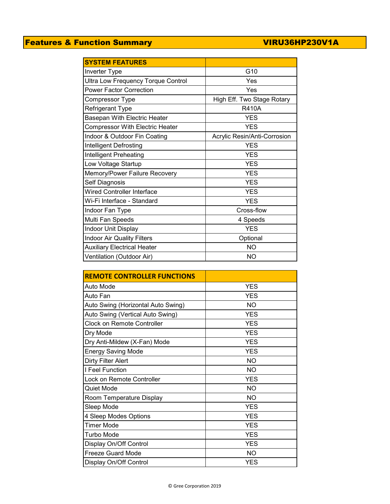## Features & Function Summary VIRU36HP230V1A

| <b>SYSTEM FEATURES</b>                    |                              |  |  |  |
|-------------------------------------------|------------------------------|--|--|--|
| <b>Inverter Type</b>                      | G10                          |  |  |  |
| <b>Ultra Low Frequency Torque Control</b> | Yes                          |  |  |  |
| <b>Power Factor Correction</b>            | Yes                          |  |  |  |
| <b>Compressor Type</b>                    | High Eff. Two Stage Rotary   |  |  |  |
| Refrigerant Type                          | <b>R410A</b>                 |  |  |  |
| Basepan With Electric Heater              | <b>YES</b>                   |  |  |  |
| <b>Compressor With Electric Heater</b>    | <b>YES</b>                   |  |  |  |
| Indoor & Outdoor Fin Coating              | Acrylic Resin/Anti-Corrosion |  |  |  |
| Intelligent Defrosting                    | <b>YES</b>                   |  |  |  |
| Intelligent Preheating                    | <b>YES</b>                   |  |  |  |
| Low Voltage Startup                       | <b>YES</b>                   |  |  |  |
| Memory/Power Failure Recovery             | <b>YES</b>                   |  |  |  |
| Self Diagnosis                            | <b>YES</b>                   |  |  |  |
| <b>Wired Controller Interface</b>         | <b>YES</b>                   |  |  |  |
| Wi-Fi Interface - Standard                | <b>YES</b>                   |  |  |  |
| Indoor Fan Type                           | Cross-flow                   |  |  |  |
| Multi Fan Speeds                          | 4 Speeds                     |  |  |  |
| Indoor Unit Display                       | <b>YES</b>                   |  |  |  |
| <b>Indoor Air Quality Filters</b>         | Optional                     |  |  |  |
| <b>Auxiliary Electrical Heater</b>        | <b>NO</b>                    |  |  |  |
| Ventilation (Outdoor Air)                 | NO                           |  |  |  |

| <b>REMOTE CONTROLLER FUNCTIONS</b> |            |  |  |  |
|------------------------------------|------------|--|--|--|
| Auto Mode                          | <b>YES</b> |  |  |  |
| Auto Fan                           | <b>YES</b> |  |  |  |
| Auto Swing (Horizontal Auto Swing) | <b>NO</b>  |  |  |  |
| Auto Swing (Vertical Auto Swing)   | <b>YES</b> |  |  |  |
| <b>Clock on Remote Controller</b>  | <b>YES</b> |  |  |  |
| Dry Mode                           | <b>YES</b> |  |  |  |
| Dry Anti-Mildew (X-Fan) Mode       | <b>YES</b> |  |  |  |
| <b>Energy Saving Mode</b>          | <b>YES</b> |  |  |  |
| Dirty Filter Alert                 | NO         |  |  |  |
| I Feel Function                    | <b>NO</b>  |  |  |  |
| Lock on Remote Controller          | <b>YES</b> |  |  |  |
| Quiet Mode                         | <b>NO</b>  |  |  |  |
| Room Temperature Display           | NO         |  |  |  |
| Sleep Mode                         | <b>YES</b> |  |  |  |
| 4 Sleep Modes Options              | <b>YES</b> |  |  |  |
| <b>Timer Mode</b>                  | <b>YES</b> |  |  |  |
| Turbo Mode                         | <b>YES</b> |  |  |  |
| Display On/Off Control             | <b>YES</b> |  |  |  |
| Freeze Guard Mode                  | <b>NO</b>  |  |  |  |
| Display On/Off Control             | <b>YES</b> |  |  |  |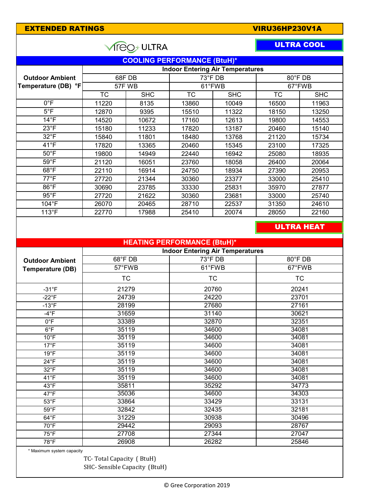| <b>EXTENDED RATINGS</b>                 | VIRU36HP230V1A         |            |                                         |            |                        |                   |  |  |  |  |  |
|-----------------------------------------|------------------------|------------|-----------------------------------------|------------|------------------------|-------------------|--|--|--|--|--|
|                                         | <b>ULTRA COOL</b>      |            |                                         |            |                        |                   |  |  |  |  |  |
|                                         |                        |            | <b>COOLING PERFORMANCE (BtuH)*</b>      |            |                        |                   |  |  |  |  |  |
| <b>Indoor Entering Air Temperatures</b> |                        |            |                                         |            |                        |                   |  |  |  |  |  |
| <b>Outdoor Ambient</b>                  | 68F DB                 |            | 73°F DB                                 |            | 80°F DB                |                   |  |  |  |  |  |
| Temperature (DB) °F                     | 57FWB                  |            |                                         | 61°FWB     |                        | 67°FWB            |  |  |  |  |  |
|                                         | $\overline{\text{TC}}$ | <b>SHC</b> | <b>TC</b>                               | <b>SHC</b> | $\overline{\text{TC}}$ | <b>SHC</b>        |  |  |  |  |  |
| $0^{\circ}$ F                           | 11220                  | 8135       | 13860                                   | 10049      | 16500                  | 11963             |  |  |  |  |  |
| $5^{\circ}$ F                           | 12870                  | 9395       | 15510                                   | 11322      | 18150                  | 13250             |  |  |  |  |  |
| $14^{\circ}F$                           | 14520                  | 10672      | 17160                                   | 12613      | 19800                  | 14553             |  |  |  |  |  |
| $23^{\circ}F$                           | 15180                  | 11233      | 17820                                   | 13187      | 20460                  | 15140             |  |  |  |  |  |
| $32^{\circ}F$                           | 15840                  | 11801      | 18480<br>13768                          |            | 21120                  | 15734             |  |  |  |  |  |
| 41°F                                    | 17820                  | 13365      | 20460                                   | 15345      |                        | 17325             |  |  |  |  |  |
| $50^{\circ}$ F                          | 19800                  | 14949      | 22440                                   | 16942      | 25080                  | 18935             |  |  |  |  |  |
| $59^{\circ}F$                           | 21120                  | 16051      | 23760                                   | 18058      | 26400                  | 20064             |  |  |  |  |  |
| 68°F                                    | 22110                  | 16914      | 24750                                   | 18934      | 27390                  | 20953             |  |  |  |  |  |
| $77^{\circ}$ F                          | 27720                  | 21344      | 30360                                   | 23377      | 33000                  | 25410             |  |  |  |  |  |
| 86°F                                    | 30690                  | 23785      | 33330                                   | 25831      | 35970                  | 27877             |  |  |  |  |  |
| $95^{\circ}$ F                          | 27720                  | 21622      | 30360                                   | 23681      | 33000                  | 25740             |  |  |  |  |  |
| 104°F                                   | 26070                  | 20465      | 28710                                   | 22537      | 31350                  | 24610             |  |  |  |  |  |
| $113^{\circ}F$                          | 22770                  | 17988      | 25410                                   | 20074      | 28050                  | 22160             |  |  |  |  |  |
|                                         |                        |            |                                         |            |                        | <b>ULTRA HEAT</b> |  |  |  |  |  |
|                                         |                        |            | <b>HEATING PERFORMANCE (BtuH)*</b>      |            |                        |                   |  |  |  |  |  |
|                                         |                        |            | <b>Indoor Entering Air Temperatures</b> |            |                        |                   |  |  |  |  |  |
| <b>Outdoor Ambient</b>                  |                        | $68°$ FDB  | 73°F DB                                 |            | 80°F DB                |                   |  |  |  |  |  |
| <b>Temperature (DB)</b>                 | 57°FWB                 |            | 61°FWB                                  |            | 67°FWB                 |                   |  |  |  |  |  |
|                                         | <b>TC</b>              |            | <b>TC</b>                               |            | <b>TC</b>              |                   |  |  |  |  |  |
|                                         |                        |            |                                         |            |                        |                   |  |  |  |  |  |
| $-31^{\circ}F$                          |                        | 21279      | 20760<br>24220                          |            | 20241<br>23701         |                   |  |  |  |  |  |
| $-22^{\circ}F$                          | 24739                  |            | 27680                                   |            |                        | 27161             |  |  |  |  |  |
| $-13^{\circ}F$<br>$-4$ °F               | 28199<br>31659         |            | 31140                                   |            |                        | 30621             |  |  |  |  |  |
| $0^{\circ}$ F                           | 33389                  |            | 32870                                   |            | 32351                  |                   |  |  |  |  |  |
| $6^{\circ}$ F                           |                        | 35119      |                                         | 34600      |                        | 34081             |  |  |  |  |  |
| $10^{\circ}$ F                          | 35119                  |            | 34600                                   |            | 34081                  |                   |  |  |  |  |  |
| $17^{\circ}F$                           | 35119                  |            | 34600                                   |            | 34081                  |                   |  |  |  |  |  |
| $19^{\circ}F$                           | 35119                  |            | 34600                                   |            | 34081                  |                   |  |  |  |  |  |
| $24^{\circ}F$                           | 35119                  |            | 34600                                   |            | 34081                  |                   |  |  |  |  |  |
| $32^{\circ}F$                           | 35119                  |            | 34600                                   |            | 34081                  |                   |  |  |  |  |  |
| 41°F                                    | 35119                  |            | 34600                                   |            | 34081                  |                   |  |  |  |  |  |
| 43°F                                    | 35811                  |            | 35292                                   |            | 34773                  |                   |  |  |  |  |  |
| $47^{\circ}$ F                          | 35036                  |            | 34600                                   |            | 34303                  |                   |  |  |  |  |  |
| $53^{\circ}F$                           | 33864                  |            | 33429                                   |            | 33131                  |                   |  |  |  |  |  |
| $59^{\circ}$ F                          | 32842                  |            | 32435                                   |            | 32181                  |                   |  |  |  |  |  |
| $64^{\circ}F$                           | 31229                  |            |                                         | 30938      |                        | 30496             |  |  |  |  |  |
| $70^{\circ}$ F<br>$75^{\circ}$ F        | 29442<br>27708         |            | 29093<br>27344                          |            | 28767<br>27047         |                   |  |  |  |  |  |
| 78°F                                    | 26908                  |            | 26282                                   |            | 25846                  |                   |  |  |  |  |  |
|                                         |                        |            |                                         |            |                        |                   |  |  |  |  |  |
| * Maximum system capacity               |                        |            |                                         |            |                        |                   |  |  |  |  |  |

TC- Total Capacity ( BtuH) SHC- Sensible Capacity (BtuH)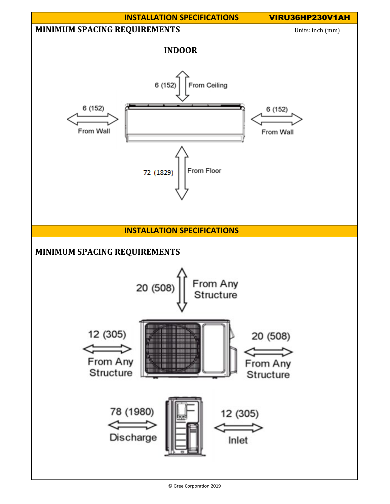